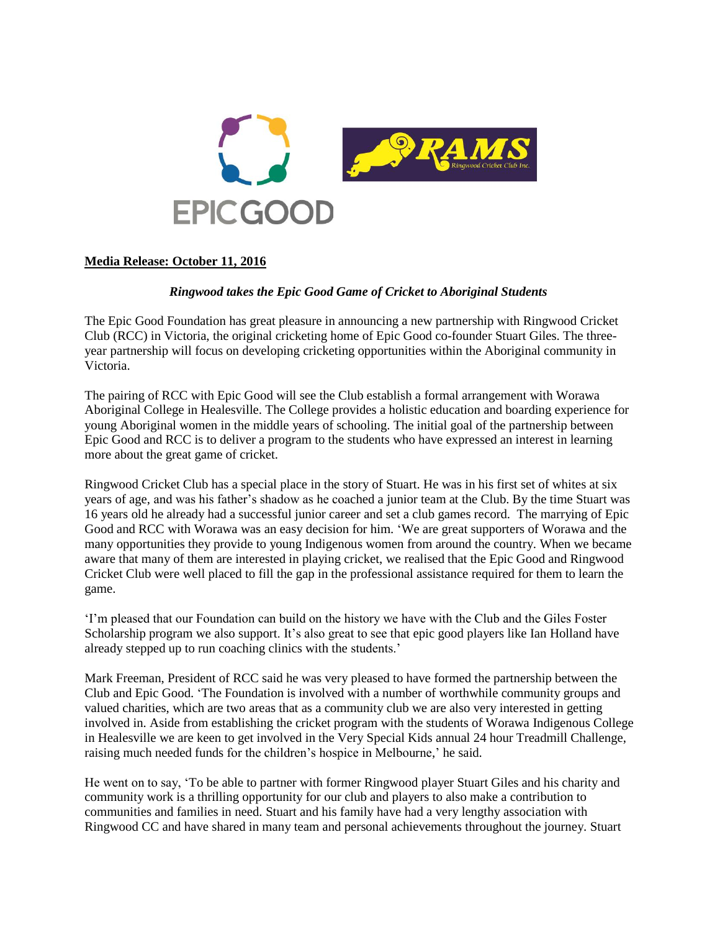

## **Media Release: October 11, 2016**

## *Ringwood takes the Epic Good Game of Cricket to Aboriginal Students*

The Epic Good Foundation has great pleasure in announcing a new partnership with Ringwood Cricket Club (RCC) in Victoria, the original cricketing home of Epic Good co-founder Stuart Giles. The threeyear partnership will focus on developing cricketing opportunities within the Aboriginal community in Victoria.

The pairing of RCC with Epic Good will see the Club establish a formal arrangement with Worawa Aboriginal College in Healesville. The College provides a holistic education and boarding experience for young Aboriginal women in the middle years of schooling. The initial goal of the partnership between Epic Good and RCC is to deliver a program to the students who have expressed an interest in learning more about the great game of cricket.

Ringwood Cricket Club has a special place in the story of Stuart. He was in his first set of whites at six years of age, and was his father's shadow as he coached a junior team at the Club. By the time Stuart was 16 years old he already had a successful junior career and set a club games record. The marrying of Epic Good and RCC with Worawa was an easy decision for him. 'We are great supporters of Worawa and the many opportunities they provide to young Indigenous women from around the country. When we became aware that many of them are interested in playing cricket, we realised that the Epic Good and Ringwood Cricket Club were well placed to fill the gap in the professional assistance required for them to learn the game.

'I'm pleased that our Foundation can build on the history we have with the Club and the Giles Foster Scholarship program we also support. It's also great to see that epic good players like Ian Holland have already stepped up to run coaching clinics with the students.'

Mark Freeman, President of RCC said he was very pleased to have formed the partnership between the Club and Epic Good. 'The Foundation is involved with a number of worthwhile community groups and valued charities, which are two areas that as a community club we are also very interested in getting involved in. Aside from establishing the cricket program with the students of Worawa Indigenous College in Healesville we are keen to get involved in the Very Special Kids annual 24 hour Treadmill Challenge, raising much needed funds for the children's hospice in Melbourne,' he said.

He went on to say, 'To be able to partner with former Ringwood player Stuart Giles and his charity and community work is a thrilling opportunity for our club and players to also make a contribution to communities and families in need. Stuart and his family have had a very lengthy association with Ringwood CC and have shared in many team and personal achievements throughout the journey. Stuart